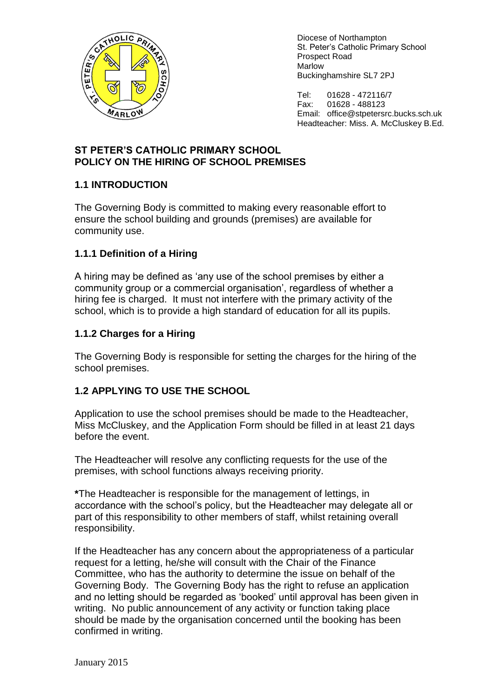

Diocese of Northampton St. Peter's Catholic Primary School Prospect Road Marlow Buckinghamshire SL7 2PJ

Tel: 01628 - 472116/7<br>Fax: 01628 - 488123 01628 - 488123 Email: office@stpetersrc.bucks.sch.uk Headteacher: Miss. A. McCluskey B.Ed.

## **ST PETER'S CATHOLIC PRIMARY SCHOOL POLICY ON THE HIRING OF SCHOOL PREMISES**

# **1.1 INTRODUCTION**

The Governing Body is committed to making every reasonable effort to ensure the school building and grounds (premises) are available for community use.

# **1.1.1 Definition of a Hiring**

A hiring may be defined as 'any use of the school premises by either a community group or a commercial organisation', regardless of whether a hiring fee is charged. It must not interfere with the primary activity of the school, which is to provide a high standard of education for all its pupils.

## **1.1.2 Charges for a Hiring**

The Governing Body is responsible for setting the charges for the hiring of the school premises.

# **1.2 APPLYING TO USE THE SCHOOL**

Application to use the school premises should be made to the Headteacher, Miss McCluskey, and the Application Form should be filled in at least 21 days before the event.

The Headteacher will resolve any conflicting requests for the use of the premises, with school functions always receiving priority.

**\***The Headteacher is responsible for the management of lettings, in accordance with the school's policy, but the Headteacher may delegate all or part of this responsibility to other members of staff, whilst retaining overall responsibility.

If the Headteacher has any concern about the appropriateness of a particular request for a letting, he/she will consult with the Chair of the Finance Committee, who has the authority to determine the issue on behalf of the Governing Body. The Governing Body has the right to refuse an application and no letting should be regarded as 'booked' until approval has been given in writing. No public announcement of any activity or function taking place should be made by the organisation concerned until the booking has been confirmed in writing.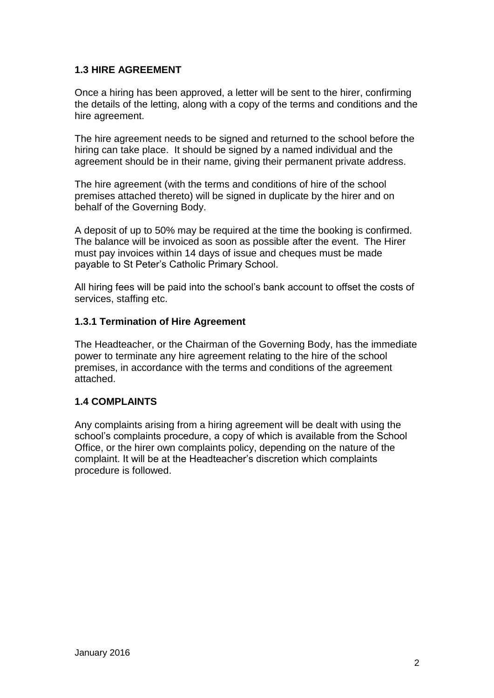## **1.3 HIRE AGREEMENT**

Once a hiring has been approved, a letter will be sent to the hirer, confirming the details of the letting, along with a copy of the terms and conditions and the hire agreement.

The hire agreement needs to be signed and returned to the school before the hiring can take place. It should be signed by a named individual and the agreement should be in their name, giving their permanent private address.

The hire agreement (with the terms and conditions of hire of the school premises attached thereto) will be signed in duplicate by the hirer and on behalf of the Governing Body.

A deposit of up to 50% may be required at the time the booking is confirmed. The balance will be invoiced as soon as possible after the event. The Hirer must pay invoices within 14 days of issue and cheques must be made payable to St Peter's Catholic Primary School.

All hiring fees will be paid into the school's bank account to offset the costs of services, staffing etc.

#### **1.3.1 Termination of Hire Agreement**

The Headteacher, or the Chairman of the Governing Body, has the immediate power to terminate any hire agreement relating to the hire of the school premises, in accordance with the terms and conditions of the agreement attached.

#### **1.4 COMPLAINTS**

Any complaints arising from a hiring agreement will be dealt with using the school's complaints procedure, a copy of which is available from the School Office, or the hirer own complaints policy, depending on the nature of the complaint. It will be at the Headteacher's discretion which complaints procedure is followed.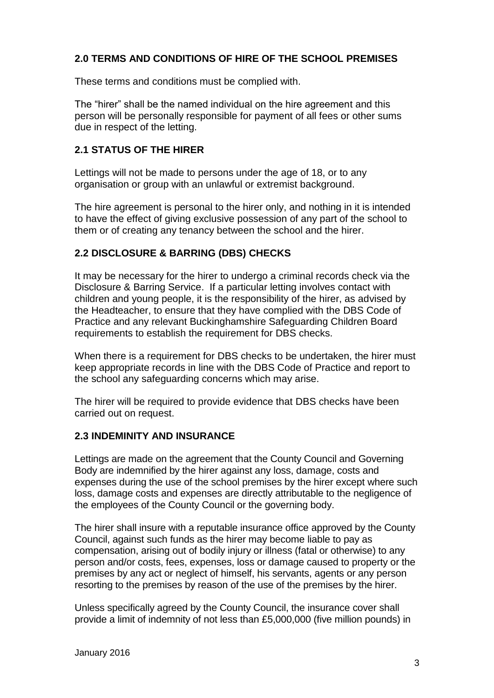#### **2.0 TERMS AND CONDITIONS OF HIRE OF THE SCHOOL PREMISES**

These terms and conditions must be complied with.

The "hirer" shall be the named individual on the hire agreement and this person will be personally responsible for payment of all fees or other sums due in respect of the letting.

#### **2.1 STATUS OF THE HIRER**

Lettings will not be made to persons under the age of 18, or to any organisation or group with an unlawful or extremist background.

The hire agreement is personal to the hirer only, and nothing in it is intended to have the effect of giving exclusive possession of any part of the school to them or of creating any tenancy between the school and the hirer.

## **2.2 DISCLOSURE & BARRING (DBS) CHECKS**

It may be necessary for the hirer to undergo a criminal records check via the Disclosure & Barring Service. If a particular letting involves contact with children and young people, it is the responsibility of the hirer, as advised by the Headteacher, to ensure that they have complied with the DBS Code of Practice and any relevant Buckinghamshire Safeguarding Children Board requirements to establish the requirement for DBS checks.

When there is a requirement for DBS checks to be undertaken, the hirer must keep appropriate records in line with the DBS Code of Practice and report to the school any safeguarding concerns which may arise.

The hirer will be required to provide evidence that DBS checks have been carried out on request.

#### **2.3 INDEMINITY AND INSURANCE**

Lettings are made on the agreement that the County Council and Governing Body are indemnified by the hirer against any loss, damage, costs and expenses during the use of the school premises by the hirer except where such loss, damage costs and expenses are directly attributable to the negligence of the employees of the County Council or the governing body.

The hirer shall insure with a reputable insurance office approved by the County Council, against such funds as the hirer may become liable to pay as compensation, arising out of bodily injury or illness (fatal or otherwise) to any person and/or costs, fees, expenses, loss or damage caused to property or the premises by any act or neglect of himself, his servants, agents or any person resorting to the premises by reason of the use of the premises by the hirer.

Unless specifically agreed by the County Council, the insurance cover shall provide a limit of indemnity of not less than £5,000,000 (five million pounds) in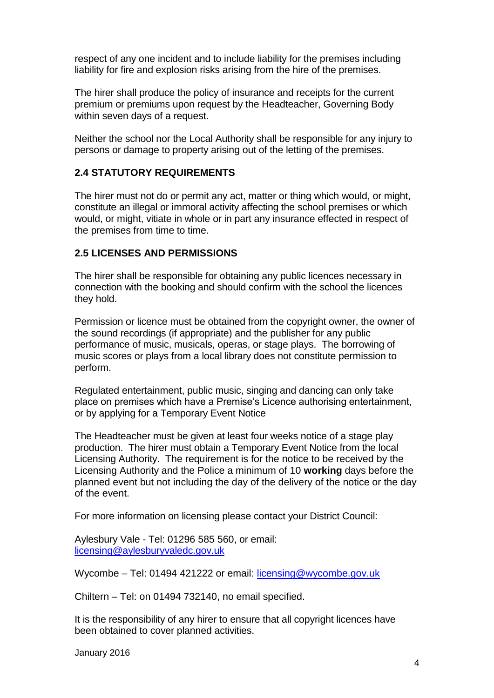respect of any one incident and to include liability for the premises including liability for fire and explosion risks arising from the hire of the premises.

The hirer shall produce the policy of insurance and receipts for the current premium or premiums upon request by the Headteacher, Governing Body within seven days of a request.

Neither the school nor the Local Authority shall be responsible for any injury to persons or damage to property arising out of the letting of the premises.

#### **2.4 STATUTORY REQUIREMENTS**

The hirer must not do or permit any act, matter or thing which would, or might, constitute an illegal or immoral activity affecting the school premises or which would, or might, vitiate in whole or in part any insurance effected in respect of the premises from time to time.

#### **2.5 LICENSES AND PERMISSIONS**

The hirer shall be responsible for obtaining any public licences necessary in connection with the booking and should confirm with the school the licences they hold.

Permission or licence must be obtained from the copyright owner, the owner of the sound recordings (if appropriate) and the publisher for any public performance of music, musicals, operas, or stage plays. The borrowing of music scores or plays from a local library does not constitute permission to perform.

Regulated entertainment, public music, singing and dancing can only take place on premises which have a Premise's Licence authorising entertainment, or by applying for a Temporary Event Notice

The Headteacher must be given at least four weeks notice of a stage play production. The hirer must obtain a Temporary Event Notice from the local Licensing Authority. The requirement is for the notice to be received by the Licensing Authority and the Police a minimum of 10 **working** days before the planned event but not including the day of the delivery of the notice or the day of the event.

For more information on licensing please contact your District Council:

Aylesbury Vale - Tel: 01296 585 560, or email: [licensing@aylesburyvaledc.gov.uk](mailto:licensing@aylesburyvaledc.gov.uk)

Wycombe – Tel: 01494 421222 or email: [licensing@wycombe.gov.uk](mailto:licensing@wycombe.gov.uk)

Chiltern – Tel: on 01494 732140, no email specified.

It is the responsibility of any hirer to ensure that all copyright licences have been obtained to cover planned activities.

January 2016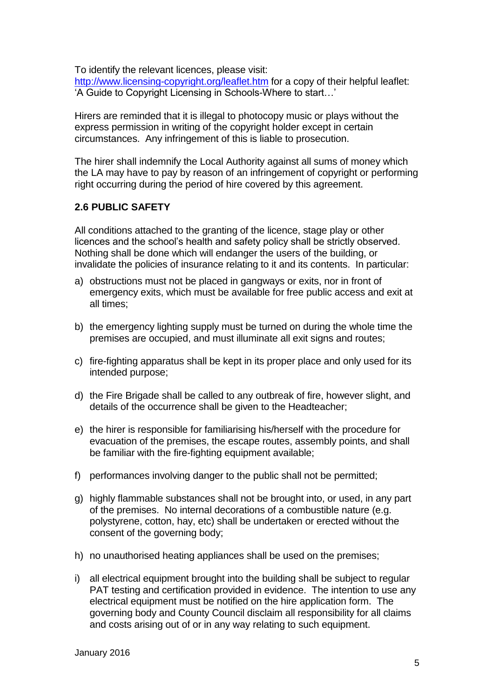To identify the relevant licences, please visit:

<http://www.licensing-copyright.org/leaflet.htm> for a copy of their helpful leaflet: 'A Guide to Copyright Licensing in Schools-Where to start…'

Hirers are reminded that it is illegal to photocopy music or plays without the express permission in writing of the copyright holder except in certain circumstances. Any infringement of this is liable to prosecution.

The hirer shall indemnify the Local Authority against all sums of money which the LA may have to pay by reason of an infringement of copyright or performing right occurring during the period of hire covered by this agreement.

#### **2.6 PUBLIC SAFETY**

All conditions attached to the granting of the licence, stage play or other licences and the school's health and safety policy shall be strictly observed. Nothing shall be done which will endanger the users of the building, or invalidate the policies of insurance relating to it and its contents. In particular:

- a) obstructions must not be placed in gangways or exits, nor in front of emergency exits, which must be available for free public access and exit at all times;
- b) the emergency lighting supply must be turned on during the whole time the premises are occupied, and must illuminate all exit signs and routes;
- c) fire-fighting apparatus shall be kept in its proper place and only used for its intended purpose;
- d) the Fire Brigade shall be called to any outbreak of fire, however slight, and details of the occurrence shall be given to the Headteacher;
- e) the hirer is responsible for familiarising his/herself with the procedure for evacuation of the premises, the escape routes, assembly points, and shall be familiar with the fire-fighting equipment available;
- f) performances involving danger to the public shall not be permitted;
- g) highly flammable substances shall not be brought into, or used, in any part of the premises. No internal decorations of a combustible nature (e.g. polystyrene, cotton, hay, etc) shall be undertaken or erected without the consent of the governing body;
- h) no unauthorised heating appliances shall be used on the premises;
- i) all electrical equipment brought into the building shall be subject to regular PAT testing and certification provided in evidence. The intention to use any electrical equipment must be notified on the hire application form. The governing body and County Council disclaim all responsibility for all claims and costs arising out of or in any way relating to such equipment.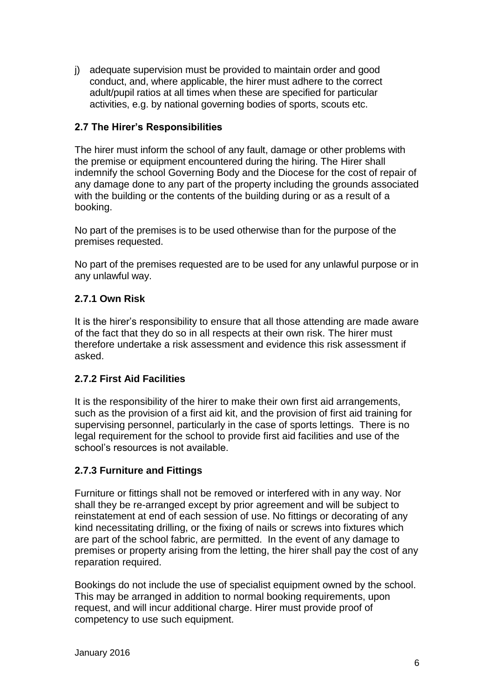j) adequate supervision must be provided to maintain order and good conduct, and, where applicable, the hirer must adhere to the correct adult/pupil ratios at all times when these are specified for particular activities, e.g. by national governing bodies of sports, scouts etc.

## **2.7 The Hirer's Responsibilities**

The hirer must inform the school of any fault, damage or other problems with the premise or equipment encountered during the hiring. The Hirer shall indemnify the school Governing Body and the Diocese for the cost of repair of any damage done to any part of the property including the grounds associated with the building or the contents of the building during or as a result of a booking.

No part of the premises is to be used otherwise than for the purpose of the premises requested.

No part of the premises requested are to be used for any unlawful purpose or in any unlawful way.

# **2.7.1 Own Risk**

It is the hirer's responsibility to ensure that all those attending are made aware of the fact that they do so in all respects at their own risk. The hirer must therefore undertake a risk assessment and evidence this risk assessment if asked.

## **2.7.2 First Aid Facilities**

It is the responsibility of the hirer to make their own first aid arrangements, such as the provision of a first aid kit, and the provision of first aid training for supervising personnel, particularly in the case of sports lettings. There is no legal requirement for the school to provide first aid facilities and use of the school's resources is not available.

## **2.7.3 Furniture and Fittings**

Furniture or fittings shall not be removed or interfered with in any way. Nor shall they be re-arranged except by prior agreement and will be subject to reinstatement at end of each session of use. No fittings or decorating of any kind necessitating drilling, or the fixing of nails or screws into fixtures which are part of the school fabric, are permitted. In the event of any damage to premises or property arising from the letting, the hirer shall pay the cost of any reparation required.

Bookings do not include the use of specialist equipment owned by the school. This may be arranged in addition to normal booking requirements, upon request, and will incur additional charge. Hirer must provide proof of competency to use such equipment.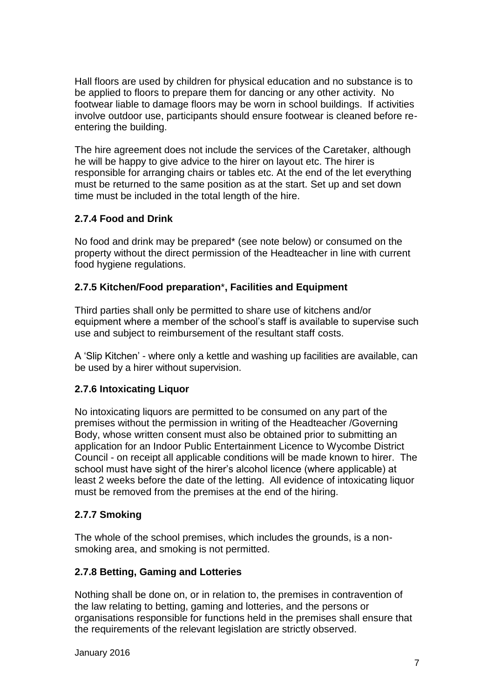Hall floors are used by children for physical education and no substance is to be applied to floors to prepare them for dancing or any other activity. No footwear liable to damage floors may be worn in school buildings. If activities involve outdoor use, participants should ensure footwear is cleaned before reentering the building.

The hire agreement does not include the services of the Caretaker, although he will be happy to give advice to the hirer on layout etc. The hirer is responsible for arranging chairs or tables etc. At the end of the let everything must be returned to the same position as at the start. Set up and set down time must be included in the total length of the hire.

#### **2.7.4 Food and Drink**

No food and drink may be prepared\* (see note below) or consumed on the property without the direct permission of the Headteacher in line with current food hygiene regulations.

#### **2.7.5 Kitchen/Food preparation**\***, Facilities and Equipment**

Third parties shall only be permitted to share use of kitchens and/or equipment where a member of the school's staff is available to supervise such use and subject to reimbursement of the resultant staff costs.

A 'Slip Kitchen' - where only a kettle and washing up facilities are available, can be used by a hirer without supervision.

## **2.7.6 Intoxicating Liquor**

No intoxicating liquors are permitted to be consumed on any part of the premises without the permission in writing of the Headteacher /Governing Body, whose written consent must also be obtained prior to submitting an application for an Indoor Public Entertainment Licence to Wycombe District Council - on receipt all applicable conditions will be made known to hirer. The school must have sight of the hirer's alcohol licence (where applicable) at least 2 weeks before the date of the letting. All evidence of intoxicating liquor must be removed from the premises at the end of the hiring.

#### **2.7.7 Smoking**

The whole of the school premises, which includes the grounds, is a nonsmoking area, and smoking is not permitted.

#### **2.7.8 Betting, Gaming and Lotteries**

Nothing shall be done on, or in relation to, the premises in contravention of the law relating to betting, gaming and lotteries, and the persons or organisations responsible for functions held in the premises shall ensure that the requirements of the relevant legislation are strictly observed.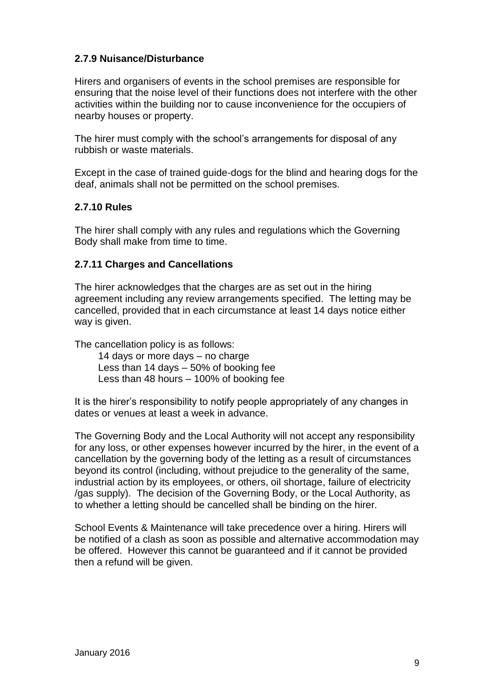#### **2.7.9 Nuisance/Disturbance**

Hirers and organisers of events in the school premises are responsible for ensuring that the noise level of their functions does not interfere with the other activities within the building nor to cause inconvenience for the occupiers of nearby houses or property.

The hirer must comply with the school's arrangements for disposal of any rubbish or waste materials.

Except in the case of trained guide-dogs for the blind and hearing dogs for the deaf, animals shall not be permitted on the school premises.

#### **2.7.10 Rules**

The hirer shall comply with any rules and regulations which the Governing Body shall make from time to time.

#### **2.7.11 Charges and Cancellations**

The hirer acknowledges that the charges are as set out in the hiring agreement including any review arrangements specified. The letting may be cancelled, provided that in each circumstance at least 14 days notice either way is given.

The cancellation policy is as follows:

14 days or more days – no charge Less than 14 days – 50% of booking fee Less than 48 hours – 100% of booking fee

It is the hirer's responsibility to notify people appropriately of any changes in dates or venues at least a week in advance.

The Governing Body and the Local Authority will not accept any responsibility for any loss, or other expenses however incurred by the hirer, in the event of a cancellation by the governing body of the letting as a result of circumstances beyond its control (including, without prejudice to the generality of the same, industrial action by its employees, or others, oil shortage, failure of electricity /gas supply). The decision of the Governing Body, or the Local Authority, as to whether a letting should be cancelled shall be binding on the hirer.

School Events & Maintenance will take precedence over a hiring. Hirers will be notified of a clash as soon as possible and alternative accommodation may be offered. However this cannot be guaranteed and if it cannot be provided then a refund will be given.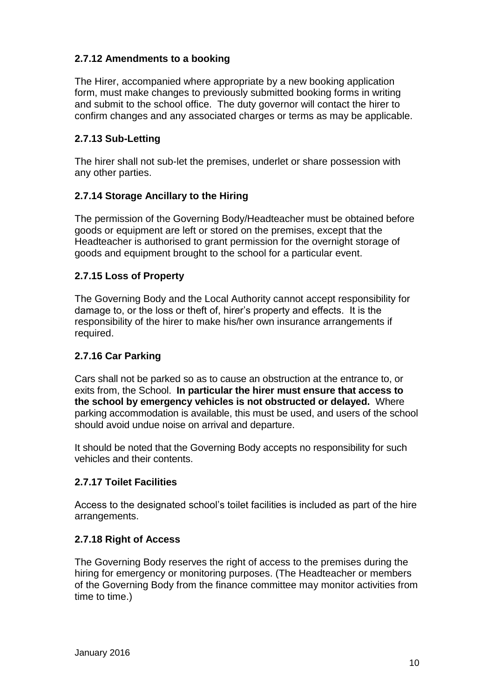# **2.7.12 Amendments to a booking**

The Hirer, accompanied where appropriate by a new booking application form, must make changes to previously submitted booking forms in writing and submit to the school office. The duty governor will contact the hirer to confirm changes and any associated charges or terms as may be applicable.

# **2.7.13 Sub-Letting**

The hirer shall not sub-let the premises, underlet or share possession with any other parties.

## **2.7.14 Storage Ancillary to the Hiring**

The permission of the Governing Body/Headteacher must be obtained before goods or equipment are left or stored on the premises, except that the Headteacher is authorised to grant permission for the overnight storage of goods and equipment brought to the school for a particular event.

## **2.7.15 Loss of Property**

The Governing Body and the Local Authority cannot accept responsibility for damage to, or the loss or theft of, hirer's property and effects. It is the responsibility of the hirer to make his/her own insurance arrangements if required.

## **2.7.16 Car Parking**

Cars shall not be parked so as to cause an obstruction at the entrance to, or exits from, the School. **In particular the hirer must ensure that access to the school by emergency vehicles is not obstructed or delayed.** Where parking accommodation is available, this must be used, and users of the school should avoid undue noise on arrival and departure.

It should be noted that the Governing Body accepts no responsibility for such vehicles and their contents.

## **2.7.17 Toilet Facilities**

Access to the designated school's toilet facilities is included as part of the hire arrangements.

## **2.7.18 Right of Access**

The Governing Body reserves the right of access to the premises during the hiring for emergency or monitoring purposes. (The Headteacher or members of the Governing Body from the finance committee may monitor activities from time to time.)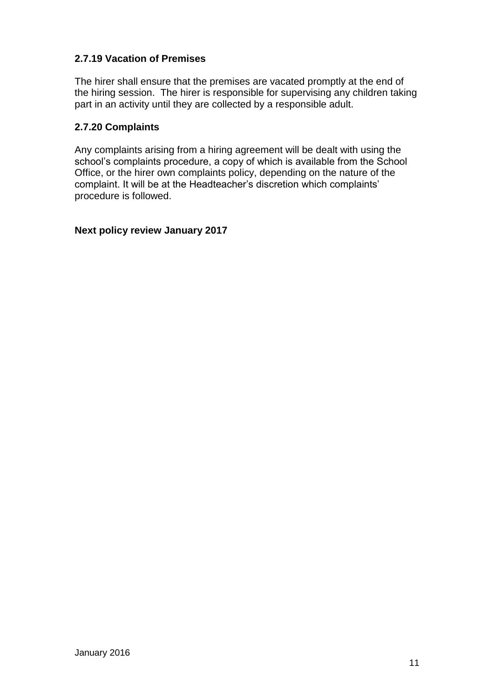## **2.7.19 Vacation of Premises**

The hirer shall ensure that the premises are vacated promptly at the end of the hiring session. The hirer is responsible for supervising any children taking part in an activity until they are collected by a responsible adult.

#### **2.7.20 Complaints**

Any complaints arising from a hiring agreement will be dealt with using the school's complaints procedure, a copy of which is available from the School Office, or the hirer own complaints policy, depending on the nature of the complaint. It will be at the Headteacher's discretion which complaints' procedure is followed.

#### **Next policy review January 2017**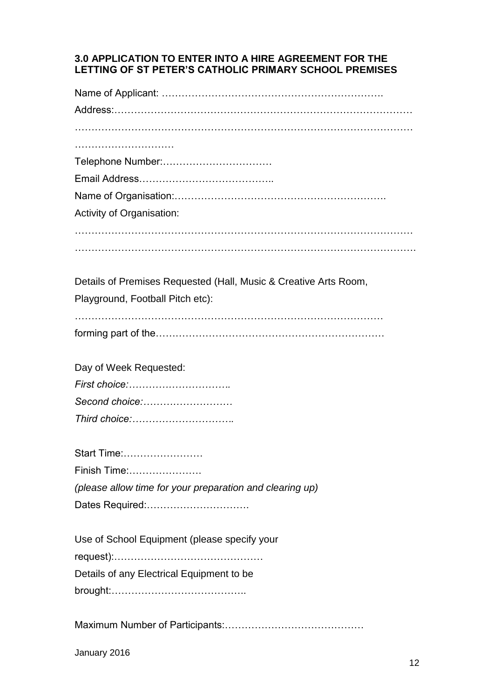#### **3.0 APPLICATION TO ENTER INTO A HIRE AGREEMENT FOR THE LETTING OF ST PETER'S CATHOLIC PRIMARY SCHOOL PREMISES**

| Telephone Number:                                                |
|------------------------------------------------------------------|
|                                                                  |
|                                                                  |
| Activity of Organisation:                                        |
|                                                                  |
|                                                                  |
| Details of Premises Requested (Hall, Music & Creative Arts Room, |
| Playground, Football Pitch etc):                                 |
|                                                                  |
| Day of Week Requested:                                           |
|                                                                  |
| Second choice:                                                   |
| Third choice:                                                    |
| Start Time:                                                      |
| Finish Time:                                                     |
| (please allow time for your preparation and clearing up)         |
| Dates Required:                                                  |
| Use of School Equipment (please specify your                     |
|                                                                  |
| Details of any Electrical Equipment to be                        |
|                                                                  |
|                                                                  |
|                                                                  |

January 2016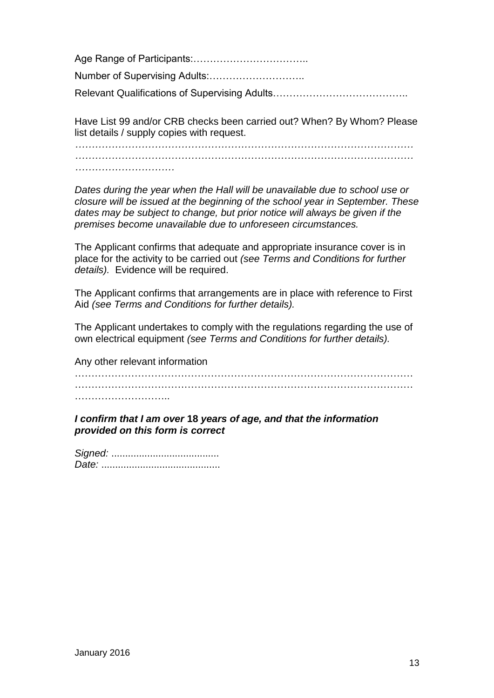Age Range of Participants:…………………………….. Number of Supervising Adults:……………………….. Relevant Qualifications of Supervising Adults…………………………………..

Have List 99 and/or CRB checks been carried out? When? By Whom? Please list details / supply copies with request.

*………………………………………………………………………………………… ………………………………………………………………………………………… …………………………*

*Dates during the year when the Hall will be unavailable due to school use or closure will be issued at the beginning of the school year in September. These dates may be subject to change, but prior notice will always be given if the premises become unavailable due to unforeseen circumstances.*

The Applicant confirms that adequate and appropriate insurance cover is in place for the activity to be carried out *(see Terms and Conditions for further details).* Evidence will be required.

The Applicant confirms that arrangements are in place with reference to First Aid *(see Terms and Conditions for further details).*

The Applicant undertakes to comply with the regulations regarding the use of own electrical equipment *(see Terms and Conditions for further details).*

Any other relevant information

………………………………………………………………………………………… ………………………………………………………………………………………… ………………………..

*I confirm that I am over* **18** *years of age, and that the information provided on this form is correct*

*Signed:* ....................................... *Date:* ...........................................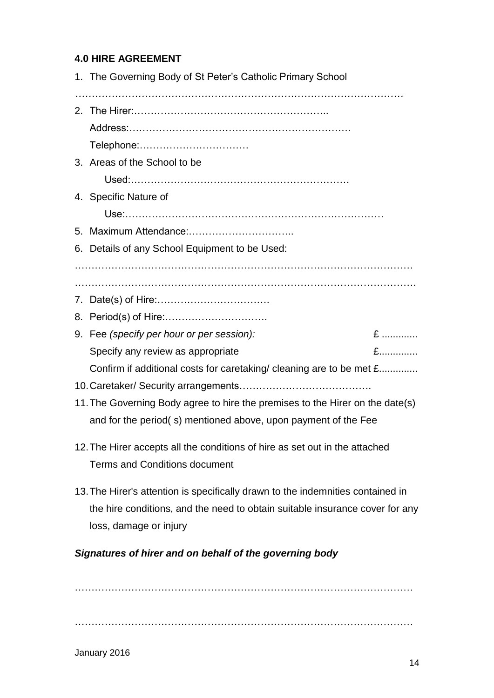# **4.0 HIRE AGREEMENT**

|                                                         | 1. The Governing Body of St Peter's Catholic Primary School                                                                                     |  |  |
|---------------------------------------------------------|-------------------------------------------------------------------------------------------------------------------------------------------------|--|--|
|                                                         |                                                                                                                                                 |  |  |
|                                                         |                                                                                                                                                 |  |  |
|                                                         | Telephone:                                                                                                                                      |  |  |
|                                                         | 3. Areas of the School to be                                                                                                                    |  |  |
|                                                         |                                                                                                                                                 |  |  |
|                                                         | 4. Specific Nature of                                                                                                                           |  |  |
|                                                         |                                                                                                                                                 |  |  |
|                                                         |                                                                                                                                                 |  |  |
|                                                         | 6. Details of any School Equipment to be Used:                                                                                                  |  |  |
|                                                         |                                                                                                                                                 |  |  |
|                                                         |                                                                                                                                                 |  |  |
|                                                         |                                                                                                                                                 |  |  |
|                                                         | $E$                                                                                                                                             |  |  |
|                                                         | 9. Fee (specify per hour or per session):<br>$E$                                                                                                |  |  |
|                                                         | Specify any review as appropriate<br>Confirm if additional costs for caretaking/ cleaning are to be met £                                       |  |  |
|                                                         |                                                                                                                                                 |  |  |
|                                                         |                                                                                                                                                 |  |  |
|                                                         | 11. The Governing Body agree to hire the premises to the Hirer on the date(s)<br>and for the period(s) mentioned above, upon payment of the Fee |  |  |
|                                                         | 12. The Hirer accepts all the conditions of hire as set out in the attached                                                                     |  |  |
|                                                         | <b>Terms and Conditions document</b>                                                                                                            |  |  |
|                                                         | 13. The Hirer's attention is specifically drawn to the indemnities contained in                                                                 |  |  |
|                                                         | the hire conditions, and the need to obtain suitable insurance cover for any                                                                    |  |  |
|                                                         | loss, damage or injury                                                                                                                          |  |  |
| Signatures of hirer and on behalf of the governing body |                                                                                                                                                 |  |  |

………………………………………………………………………………………… …………………………………………………………………………………………